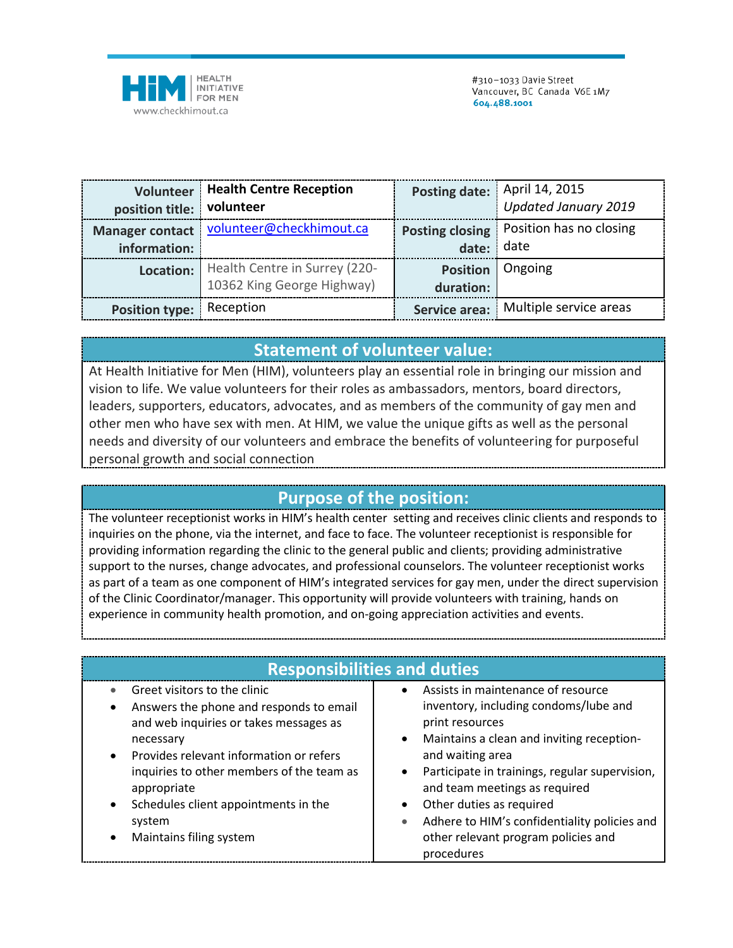

|                           | Volunteer   Health Centre Reception                                          |           | Posting date:   April 14, 2015            |
|---------------------------|------------------------------------------------------------------------------|-----------|-------------------------------------------|
| position title: volunteer |                                                                              |           | Updated January 2019                      |
|                           | Manager contact   volunteer@checkhimout.ca                                   |           | Posting closing   Position has no closing |
| information:              |                                                                              | date:     | date                                      |
|                           | <b>Location:</b> Health Centre in Surrey (220-<br>10362 King George Highway) |           | <b>Position</b> Ongoing                   |
|                           |                                                                              | duration: |                                           |
| Position type: Reception  |                                                                              |           | Service area:   Multiple service areas    |

## **Statement of volunteer value:**

At Health Initiative for Men (HIM), volunteers play an essential role in bringing our mission and vision to life. We value volunteers for their roles as ambassadors, mentors, board directors, leaders, supporters, educators, advocates, and as members of the community of gay men and other men who have sex with men. At HIM, we value the unique gifts as well as the personal needs and diversity of our volunteers and embrace the benefits of volunteering for purposeful personal growth and social connection

## **Purpose of the position:**

The volunteer receptionist works in HIM's health center setting and receives clinic clients and responds to inquiries on the phone, via the internet, and face to face. The volunteer receptionist is responsible for providing information regarding the clinic to the general public and clients; providing administrative support to the nurses, change advocates, and professional counselors. The volunteer receptionist works as part of a team as one component of HIM's integrated services for gay men, under the direct supervision of the Clinic Coordinator/manager. This opportunity will provide volunteers with training, hands on experience in community health promotion, and on-going appreciation activities and events.

| <b>Responsibilities and duties</b>                                                                                                                                                                                                                                                                                 |                                                                                                                                                                                                                                                                                                                                                                                                  |  |  |  |
|--------------------------------------------------------------------------------------------------------------------------------------------------------------------------------------------------------------------------------------------------------------------------------------------------------------------|--------------------------------------------------------------------------------------------------------------------------------------------------------------------------------------------------------------------------------------------------------------------------------------------------------------------------------------------------------------------------------------------------|--|--|--|
| Greet visitors to the clinic<br>Answers the phone and responds to email<br>and web inquiries or takes messages as<br>necessary<br>Provides relevant information or refers<br>inquiries to other members of the team as<br>appropriate<br>Schedules client appointments in the<br>system<br>Maintains filing system | Assists in maintenance of resource<br>$\bullet$<br>inventory, including condoms/lube and<br>print resources<br>Maintains a clean and inviting reception-<br>and waiting area<br>Participate in trainings, regular supervision,<br>and team meetings as required<br>Other duties as required<br>Adhere to HIM's confidentiality policies and<br>other relevant program policies and<br>procedures |  |  |  |